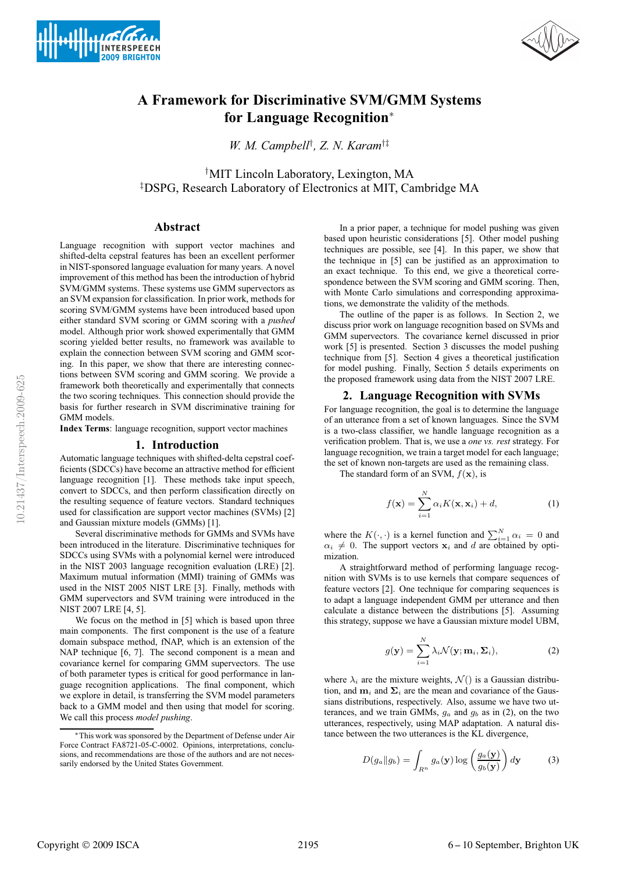



# **A Framework for Discriminative SVM/GMM Systems for Language Recognition**<sup>∗</sup>

*W. M. Campbell*† *, Z. N. Karam*†‡

† MIT Lincoln Laboratory, Lexington, MA ‡ DSPG, Research Laboratory of Electronics at MIT, Cambridge MA

## **Abstract**

Language recognition with support vector machines and shifted-delta cepstral features has been an excellent performer in NIST-sponsored language evaluation for many years. A novel improvement of this method has been the introduction of hybrid SVM/GMM systems. These systems use GMM supervectors as an SVM expansion for classification. In prior work, methods for scoring SVM/GMM systems have been introduced based upon either standard SVM scoring or GMM scoring with a *pushed* model. Although prior work showed experimentally that GMM scoring yielded better results, no framework was available to explain the connection between SVM scoring and GMM scoring. In this paper, we show that there are interesting connections between SVM scoring and GMM scoring. We provide a framework both theoretically and experimentally that connects the two scoring techniques. This connection should provide the basis for further research in SVM discriminative training for GMM models.

**Index Terms**: language recognition, support vector machines

#### **1. Introduction**

Automatic language techniques with shifted-delta cepstral coefficients (SDCCs) have become an attractive method for efficient language recognition [1]. These methods take input speech, convert to SDCCs, and then perform classification directly on the resulting sequence of feature vectors. Standard techniques used for classification are support vector machines (SVMs) [2] and Gaussian mixture models (GMMs) [1].

Several discriminative methods for GMMs and SVMs have been introduced in the literature. Discriminative techniques for SDCCs using SVMs with a polynomial kernel were introduced in the NIST 2003 language recognition evaluation (LRE) [2]. Maximum mutual information (MMI) training of GMMs was used in the NIST 2005 NIST LRE [3]. Finally, methods with GMM supervectors and SVM training were introduced in the NIST 2007 LRE [4, 5].

We focus on the method in [5] which is based upon three main components. The first component is the use of a feature domain subspace method, fNAP, which is an extension of the NAP technique [6, 7]. The second component is a mean and covariance kernel for comparing GMM supervectors. The use of both parameter types is critical for good performance in language recognition applications. The final component, which we explore in detail, is transferring the SVM model parameters back to a GMM model and then using that model for scoring. We call this process *model pushing*.

In a prior paper, a technique for model pushing was given based upon heuristic considerations [5]. Other model pushing techniques are possible, see [4]. In this paper, we show that the technique in [5] can be justified as an approximation to an exact technique. To this end, we give a theoretical correspondence between the SVM scoring and GMM scoring. Then, with Monte Carlo simulations and corresponding approximations, we demonstrate the validity of the methods.

The outline of the paper is as follows. In Section 2, we discuss prior work on language recognition based on SVMs and GMM supervectors. The covariance kernel discussed in prior work [5] is presented. Section 3 discusses the model pushing technique from [5]. Section 4 gives a theoretical justification for model pushing. Finally, Section 5 details experiments on the proposed framework using data from the NIST 2007 LRE.

#### **2. Language Recognition with SVMs**

For language recognition, the goal is to determine the language of an utterance from a set of known languages. Since the SVM is a two-class classifier, we handle language recognition as a verification problem. That is, we use a *one vs. rest* strategy. For language recognition, we train a target model for each language; the set of known non-targets are used as the remaining class.

The standard form of an SVM,  $f(\mathbf{x})$ , is

$$
f(\mathbf{x}) = \sum_{i=1}^{N} \alpha_i K(\mathbf{x}, \mathbf{x}_i) + d,\tag{1}
$$

where the  $K(\cdot, \cdot)$  is a kernel function and  $\sum_{i=1}^{N} \alpha_i = 0$  and  $\alpha_i \neq 0$ . The support vectors  $x_i$  and d are obtained by optimization.

A straightforward method of performing language recognition with SVMs is to use kernels that compare sequences of feature vectors [2]. One technique for comparing sequences is to adapt a language independent GMM per utterance and then calculate a distance between the distributions [5]. Assuming this strategy, suppose we have a Gaussian mixture model UBM,

$$
g(\mathbf{y}) = \sum_{i=1}^{N} \lambda_i \mathcal{N}(\mathbf{y}; \mathbf{m}_i, \Sigma_i),
$$
 (2)

where  $\lambda_i$  are the mixture weights,  $\mathcal{N}(t)$  is a Gaussian distribution, and  $\mathbf{m}_i$  and  $\mathbf{\Sigma}_i$  are the mean and covariance of the Gaussians distributions, respectively. Also, assume we have two utterances, and we train GMMs,  $q_a$  and  $q_b$  as in (2), on the two utterances, respectively, using MAP adaptation. A natural distance between the two utterances is the KL divergence,

$$
D(g_a||g_b) = \int_{R^n} g_a(\mathbf{y}) \log \left(\frac{g_a(\mathbf{y})}{g_b(\mathbf{y})}\right) d\mathbf{y}
$$
 (3)

<sup>∗</sup>This work was sponsored by the Department of Defense under Air Force Contract FA8721-05-C-0002. Opinions, interpretations, conclusions, and recommendations are those of the authors and are not necessarily endorsed by the United States Government.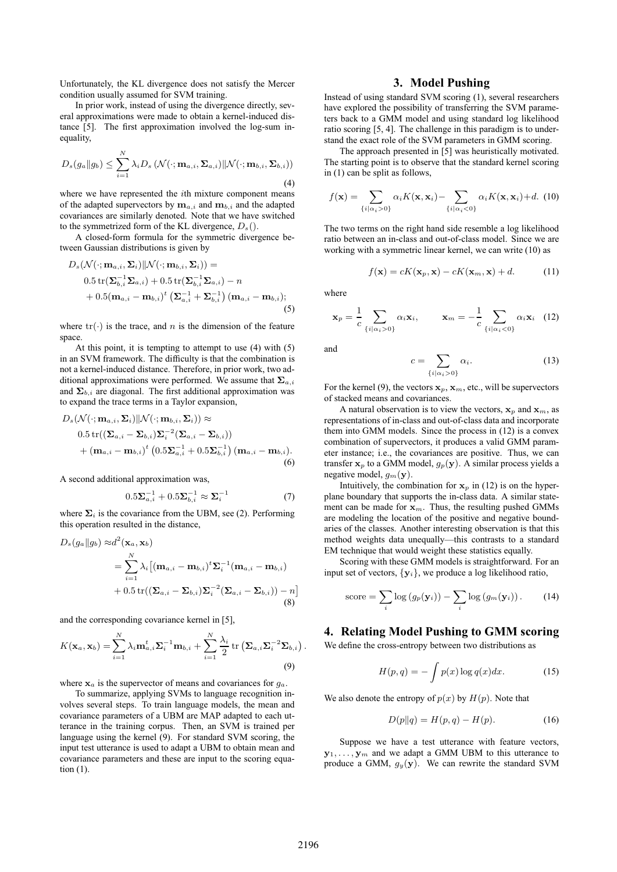Unfortunately, the KL divergence does not satisfy the Mercer condition usually assumed for SVM training.

In prior work, instead of using the divergence directly, several approximations were made to obtain a kernel-induced distance [5]. The first approximation involved the log-sum inequality,

$$
D_s(g_a||g_b) \leq \sum_{i=1}^N \lambda_i D_s \left(\mathcal{N}(\cdot; \mathbf{m}_{a,i}, \Sigma_{a,i}) || \mathcal{N}(\cdot; \mathbf{m}_{b,i}, \Sigma_{b,i})\right)
$$
\n(4)

where we have represented the *i*th mixture component means of the adapted supervectors by  $\mathbf{m}_{a,i}$  and  $\mathbf{m}_{b,i}$  and the adapted covariances are similarly denoted. Note that we have switched to the symmetrized form of the KL divergence,  $D_s()$ .

A closed-form formula for the symmetric divergence between Gaussian distributions is given by

$$
D_s(\mathcal{N}(\cdot; \mathbf{m}_{a,i}, \Sigma_i)||\mathcal{N}(\cdot; \mathbf{m}_{b,i}, \Sigma_i)) =
$$
  
\n
$$
0.5 \operatorname{tr}(\Sigma_{b,i}^{-1} \Sigma_{a,i}) + 0.5 \operatorname{tr}(\Sigma_{b,i}^{-1} \Sigma_{a,i}) - n
$$
  
\n
$$
+ 0.5(\mathbf{m}_{a,i} - \mathbf{m}_{b,i})^t (\Sigma_{a,i}^{-1} + \Sigma_{b,i}^{-1}) (\mathbf{m}_{a,i} - \mathbf{m}_{b,i});
$$
  
\n(5)

where  $tr(\cdot)$  is the trace, and n is the dimension of the feature space.

At this point, it is tempting to attempt to use (4) with (5) in an SVM framework. The difficulty is that the combination is not a kernel-induced distance. Therefore, in prior work, two additional approximations were performed. We assume that  $\Sigma_{a,i}$ and  $\Sigma_{b,i}$  are diagonal. The first additional approximation was to expand the trace terms in a Taylor expansion,

$$
D_s(\mathcal{N}(\cdot; \mathbf{m}_{a,i}, \Sigma_i)||\mathcal{N}(\cdot; \mathbf{m}_{b,i}, \Sigma_i)) \approx
$$
  
0.5 tr( $(\Sigma_{a,i} - \Sigma_{b,i})\Sigma_i^{-2}(\Sigma_{a,i} - \Sigma_{b,i})$ )  
+  $(\mathbf{m}_{a,i} - \mathbf{m}_{b,i})^t (0.5\Sigma_{a,i}^{-1} + 0.5\Sigma_{b,i}^{-1}) (\mathbf{m}_{a,i} - \mathbf{m}_{b,i}).$  (6)

A second additional approximation was,

$$
0.5\Sigma_{a,i}^{-1} + 0.5\Sigma_{b,i}^{-1} \approx \Sigma_i^{-1}
$$
 (7)

where  $\Sigma_i$  is the covariance from the UBM, see (2). Performing this operation resulted in the distance,

$$
D_s(g_a||g_b) \approx d^2(\mathbf{x}_a, \mathbf{x}_b)
$$
  
= 
$$
\sum_{i=1}^N \lambda_i [(\mathbf{m}_{a,i} - \mathbf{m}_{b,i})^t \Sigma_i^{-1} (\mathbf{m}_{a,i} - \mathbf{m}_{b,i})
$$
  
+ 0.5 tr $((\Sigma_{a,i} - \Sigma_{b,i}) \Sigma_i^{-2} (\Sigma_{a,i} - \Sigma_{b,i})) - n]$ (8)

and the corresponding covariance kernel in [5],

$$
K(\mathbf{x}_a, \mathbf{x}_b) = \sum_{i=1}^N \lambda_i \mathbf{m}_{a,i}^t \mathbf{\Sigma}_i^{-1} \mathbf{m}_{b,i} + \sum_{i=1}^N \frac{\lambda_i}{2} \operatorname{tr} (\mathbf{\Sigma}_{a,i} \mathbf{\Sigma}_i^{-2} \mathbf{\Sigma}_{b,i})
$$
\n(9)

where  $x_a$  is the supervector of means and covariances for  $g_a$ .

To summarize, applying SVMs to language recognition involves several steps. To train language models, the mean and covariance parameters of a UBM are MAP adapted to each utterance in the training corpus. Then, an SVM is trained per language using the kernel (9). For standard SVM scoring, the input test utterance is used to adapt a UBM to obtain mean and covariance parameters and these are input to the scoring equation (1).

## **3. Model Pushing**

Instead of using standard SVM scoring (1), several researchers have explored the possibility of transferring the SVM parameters back to a GMM model and using standard log likelihood ratio scoring [5, 4]. The challenge in this paradigm is to understand the exact role of the SVM parameters in GMM scoring.

The approach presented in [5] was heuristically motivated. The starting point is to observe that the standard kernel scoring in (1) can be split as follows,

$$
f(\mathbf{x}) = \sum_{\{i \mid \alpha_i > 0\}} \alpha_i K(\mathbf{x}, \mathbf{x}_i) - \sum_{\{i \mid \alpha_i < 0\}} \alpha_i K(\mathbf{x}, \mathbf{x}_i) + d. \tag{10}
$$

The two terms on the right hand side resemble a log likelihood ratio between an in-class and out-of-class model. Since we are working with a symmetric linear kernel, we can write (10) as

$$
f(\mathbf{x}) = cK(\mathbf{x}_p, \mathbf{x}) - cK(\mathbf{x}_m, \mathbf{x}) + d.
$$
 (11)

where

$$
\mathbf{x}_p = \frac{1}{c} \sum_{\{i \mid \alpha_i > 0\}} \alpha_i \mathbf{x}_i, \qquad \mathbf{x}_m = -\frac{1}{c} \sum_{\{i \mid \alpha_i < 0\}} \alpha_i \mathbf{x}_i \quad (12)
$$

and

$$
c = \sum_{\{i \mid \alpha_i > 0\}} \alpha_i. \tag{13}
$$

For the kernel (9), the vectors  $x_p$ ,  $x_m$ , etc., will be supervectors of stacked means and covariances.

A natural observation is to view the vectors,  $x_p$  and  $x_m$ , as representations of in-class and out-of-class data and incorporate them into GMM models. Since the process in (12) is a convex combination of supervectors, it produces a valid GMM parameter instance; i.e., the covariances are positive. Thus, we can transfer  $x_p$  to a GMM model,  $g_p(y)$ . A similar process yields a negative model,  $g_m(\mathbf{y})$ .

Intuitively, the combination for  $x_p$  in (12) is on the hyperplane boundary that supports the in-class data. A similar statement can be made for  $x_m$ . Thus, the resulting pushed GMMs are modeling the location of the positive and negative boundaries of the classes. Another interesting observation is that this method weights data unequally—this contrasts to a standard EM technique that would weight these statistics equally.

Scoring with these GMM models is straightforward. For an input set of vectors,  $\{y_i\}$ , we produce a log likelihood ratio,

score = 
$$
\sum_{i} \log (g_p(\mathbf{y}_i)) - \sum_{i} \log (g_m(\mathbf{y}_i)).
$$
 (14)

## **4. Relating Model Pushing to GMM scoring**

We define the cross-entropy between two distributions as

$$
H(p,q) = -\int p(x)\log q(x)dx.
$$
 (15)

We also denote the entropy of  $p(x)$  by  $H(p)$ . Note that

$$
D(p||q) = H(p,q) - H(p).
$$
 (16)

Suppose we have a test utterance with feature vectors,  $y_1, \ldots, y_m$  and we adapt a GMM UBM to this utterance to produce a GMM,  $g_y(y)$ . We can rewrite the standard SVM

.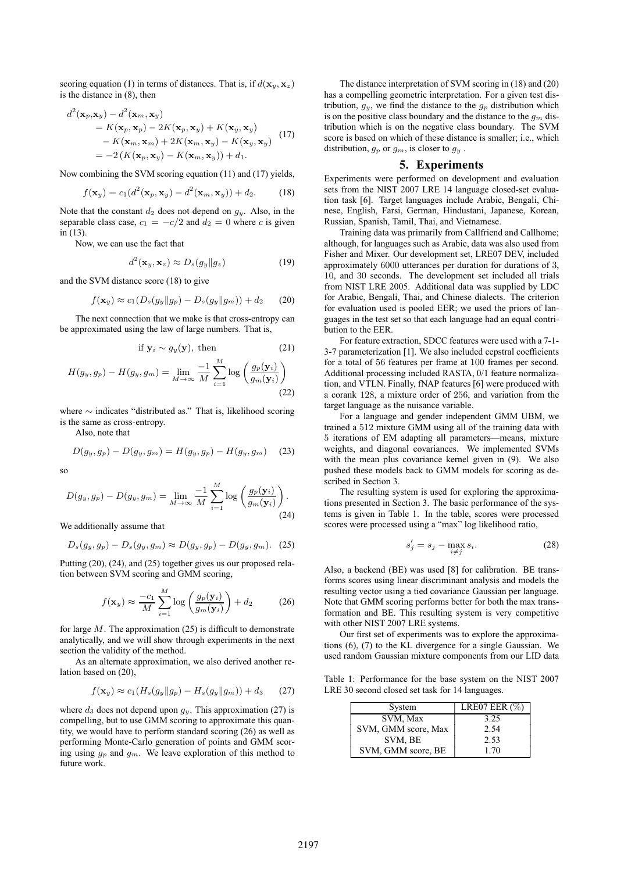scoring equation (1) in terms of distances. That is, if  $d(\mathbf{x}_y, \mathbf{x}_z)$ is the distance in (8), then

$$
d^{2}(\mathbf{x}_{p}, \mathbf{x}_{y}) - d^{2}(\mathbf{x}_{m}, \mathbf{x}_{y})
$$
  
=  $K(\mathbf{x}_{p}, \mathbf{x}_{p}) - 2K(\mathbf{x}_{p}, \mathbf{x}_{y}) + K(\mathbf{x}_{y}, \mathbf{x}_{y})$   
-  $K(\mathbf{x}_{m}, \mathbf{x}_{m}) + 2K(\mathbf{x}_{m}, \mathbf{x}_{y}) - K(\mathbf{x}_{y}, \mathbf{x}_{y})$  (17)  
=  $-2(K(\mathbf{x}_{p}, \mathbf{x}_{y}) - K(\mathbf{x}_{m}, \mathbf{x}_{y})) + d_{1}.$ 

Now combining the SVM scoring equation (11) and (17) yields,

$$
f(\mathbf{x}_y) = c_1(d^2(\mathbf{x}_p, \mathbf{x}_y) - d^2(\mathbf{x}_m, \mathbf{x}_y)) + d_2.
$$
 (18)

Note that the constant  $d_2$  does not depend on  $q_y$ . Also, in the separable class case,  $c_1 = -c/2$  and  $d_2 = 0$  where c is given in (13).

Now, we can use the fact that

$$
d^2(\mathbf{x}_y, \mathbf{x}_z) \approx D_s(g_y \| g_z)
$$
 (19)

and the SVM distance score (18) to give

$$
f(\mathbf{x}_y) \approx c_1(D_s(g_y \| g_p) - D_s(g_y \| g_m)) + d_2 \qquad (20)
$$

The next connection that we make is that cross-entropy can be approximated using the law of large numbers. That is,

if 
$$
\mathbf{y}_i \sim g_y(\mathbf{y})
$$
, then (21)

$$
H(g_y, g_p) - H(g_y, g_m) = \lim_{M \to \infty} \frac{-1}{M} \sum_{i=1}^{M} \log \left( \frac{g_p(\mathbf{y}_i)}{g_m(\mathbf{y}_i)} \right)
$$
(22)

where ∼ indicates "distributed as." That is, likelihood scoring is the same as cross-entropy.

Also, note that

$$
D(g_y, g_p) - D(g_y, g_m) = H(g_y, g_p) - H(g_y, g_m) \quad (23)
$$

so

$$
D(g_y, g_p) - D(g_y, g_m) = \lim_{M \to \infty} \frac{-1}{M} \sum_{i=1}^{M} \log \left( \frac{g_p(\mathbf{y}_i)}{g_m(\mathbf{y}_i)} \right).
$$
\n(24)

We additionally assume that

$$
D_s(g_y, g_p) - D_s(g_y, g_m) \approx D(g_y, g_p) - D(g_y, g_m). \tag{25}
$$

Putting (20), (24), and (25) together gives us our proposed relation between SVM scoring and GMM scoring,

$$
f(\mathbf{x}_y) \approx \frac{-c_1}{M} \sum_{i=1}^{M} \log \left( \frac{g_p(\mathbf{y}_i)}{g_m(\mathbf{y}_i)} \right) + d_2 \tag{26}
$$

for large  $M$ . The approximation (25) is difficult to demonstrate analytically, and we will show through experiments in the next section the validity of the method.

As an alternate approximation, we also derived another relation based on (20),

$$
f(\mathbf{x}_y) \approx c_1(H_s(g_y \| g_p) - H_s(g_y \| g_m)) + d_3 \qquad (27)
$$

where  $d_3$  does not depend upon  $g_y$ . This approximation (27) is compelling, but to use GMM scoring to approximate this quantity, we would have to perform standard scoring (26) as well as performing Monte-Carlo generation of points and GMM scoring using  $g_p$  and  $g_m$ . We leave exploration of this method to future work.

The distance interpretation of SVM scoring in (18) and (20) has a compelling geometric interpretation. For a given test distribution,  $g_y$ , we find the distance to the  $g_p$  distribution which is on the positive class boundary and the distance to the  $g_m$  distribution which is on the negative class boundary. The SVM score is based on which of these distance is smaller; i.e., which distribution,  $g_p$  or  $g_m$ , is closer to  $g_y$ .

## **5. Experiments**

Experiments were performed on development and evaluation sets from the NIST 2007 LRE 14 language closed-set evaluation task [6]. Target languages include Arabic, Bengali, Chinese, English, Farsi, German, Hindustani, Japanese, Korean, Russian, Spanish, Tamil, Thai, and Vietnamese.

Training data was primarily from Callfriend and Callhome; although, for languages such as Arabic, data was also used from Fisher and Mixer. Our development set, LRE07 DEV, included approximately 6000 utterances per duration for durations of 3, 10, and 30 seconds. The development set included all trials from NIST LRE 2005. Additional data was supplied by LDC for Arabic, Bengali, Thai, and Chinese dialects. The criterion for evaluation used is pooled EER; we used the priors of languages in the test set so that each language had an equal contribution to the EER.

For feature extraction, SDCC features were used with a 7-1- 3-7 parameterization [1]. We also included cepstral coefficients for a total of 56 features per frame at 100 frames per second. Additional processing included RASTA, 0/1 feature normalization, and VTLN. Finally, fNAP features [6] were produced with a corank 128, a mixture order of 256, and variation from the target language as the nuisance variable.

For a language and gender independent GMM UBM, we trained a 512 mixture GMM using all of the training data with 5 iterations of EM adapting all parameters—means, mixture weights, and diagonal covariances. We implemented SVMs with the mean plus covariance kernel given in (9). We also pushed these models back to GMM models for scoring as described in Section 3.

The resulting system is used for exploring the approximations presented in Section 3. The basic performance of the systems is given in Table 1. In the table, scores were processed scores were processed using a "max" log likelihood ratio,

$$
s_j' = s_j - \max_{i \neq j} s_i. \tag{28}
$$

Also, a backend (BE) was used [8] for calibration. BE transforms scores using linear discriminant analysis and models the resulting vector using a tied covariance Gaussian per language. Note that GMM scoring performs better for both the max transformation and BE. This resulting system is very competitive with other NIST 2007 LRE systems.

Our first set of experiments was to explore the approximations (6), (7) to the KL divergence for a single Gaussian. We used random Gaussian mixture components from our LID data

Table 1: Performance for the base system on the NIST 2007 LRE 30 second closed set task for 14 languages.

| System              | LRE07 EER $(\%)$ |
|---------------------|------------------|
| SVM, Max            | 3.25             |
| SVM, GMM score, Max | 2.54             |
| SVM, BE             | 2.53             |
| SVM, GMM score, BE  | 1.70             |